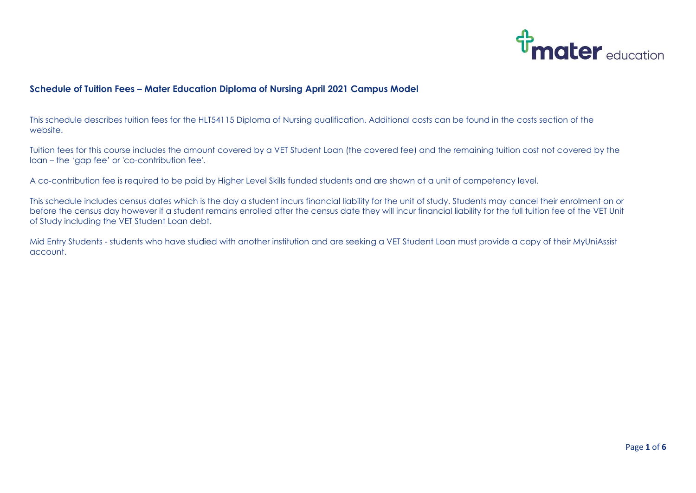

## **Schedule of Tuition Fees – Mater Education Diploma of Nursing April 2021 Campus Model**

This schedule describes tuition fees for the HLT54115 Diploma of Nursing qualification. Additional costs can be found in the costs section of the website.

Tuition fees for this course includes the amount covered by a VET Student Loan (the covered fee) and the remaining tuition cost not covered by the loan – the 'gap fee' or 'co-contribution fee'.

A co-contribution fee is required to be paid by Higher Level Skills funded students and are shown at a unit of competency level.

This schedule includes census dates which is the day a student incurs financial liability for the unit of study. Students may cancel their enrolment on or before the census day however if a student remains enrolled after the census date they will incur financial liability for the full tuition fee of the VET Unit of Study including the VET Student Loan debt.

Mid Entry Students - students who have studied with another institution and are seeking a VET Student Loan must provide a copy of their MyUniAssist account.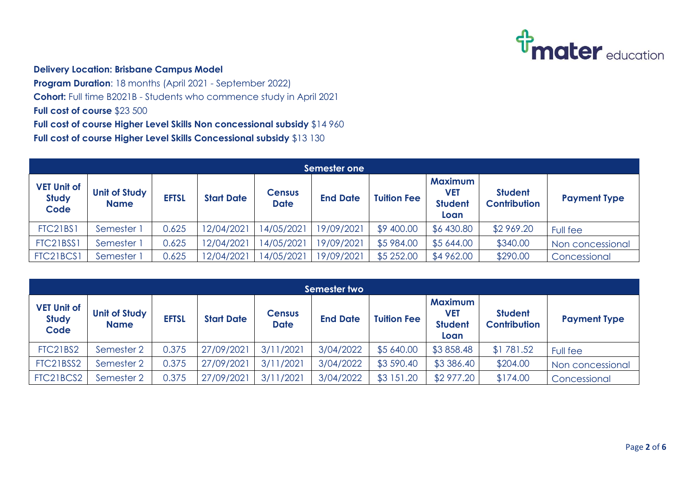

## **Delivery Location: Brisbane Campus Model**

**Program Duration**: 18 months (April 2021 - September 2022) **Cohort:** Full time B2021B - Students who commence study in April 2021 **Full cost of course** \$23 500 **Full cost of course Higher Level Skills Non concessional subsidy** \$14 960

**Full cost of course Higher Level Skills Concessional subsidy** \$13 130

| Semester one                               |                                     |              |                   |                              |                 |                    |                                                        |                                       |                     |  |  |
|--------------------------------------------|-------------------------------------|--------------|-------------------|------------------------------|-----------------|--------------------|--------------------------------------------------------|---------------------------------------|---------------------|--|--|
| <b>VET Unit of</b><br><b>Study</b><br>Code | <b>Unit of Study</b><br><b>Name</b> | <b>EFTSL</b> | <b>Start Date</b> | <b>Census</b><br><b>Date</b> | <b>End Date</b> | <b>Tuition Fee</b> | <b>Maximum</b><br><b>VET</b><br><b>Student</b><br>Loan | <b>Student</b><br><b>Contribution</b> | <b>Payment Type</b> |  |  |
| <b>FTC21BS1</b>                            | Semester                            | 0.625        | 12/04/2021        | 14/05/2021                   | 19/09/2021      | \$9 400.00         | \$6 430.80                                             | \$2 969.20                            | Full fee            |  |  |
| FTC21BSS1                                  | Semester 1                          | 0.625        | 12/04/2021        | 4/05/2021                    | 19/09/2021      | \$5 984.00         | \$5 644.00                                             | \$340.00                              | Non concessional    |  |  |
| FTC21BCS1                                  | Semester 1                          | 0.625        | 12/04/2021        | 14/05/2021                   | 19/09/2021      | \$5 252.00         | \$4 962.00                                             | \$290.00                              | Concessional        |  |  |

| Semester two                               |                                     |              |                   |                              |                 |                    |                                                 |                                       |                     |  |  |
|--------------------------------------------|-------------------------------------|--------------|-------------------|------------------------------|-----------------|--------------------|-------------------------------------------------|---------------------------------------|---------------------|--|--|
| <b>VET Unit of</b><br><b>Study</b><br>Code | <b>Unit of Study</b><br><b>Name</b> | <b>EFTSL</b> | <b>Start Date</b> | <b>Census</b><br><b>Date</b> | <b>End Date</b> | <b>Tuition Fee</b> | <b>Maximum</b><br>VET<br><b>Student</b><br>Loan | <b>Student</b><br><b>Contribution</b> | <b>Payment Type</b> |  |  |
| <b>FTC21BS2</b>                            | Semester 2                          | 0.375        | 27/09/2021        | 3/11/2021                    | 3/04/2022       | \$5 640.00         | \$3858.48                                       | \$1781.52                             | Full fee            |  |  |
| FTC21BSS2                                  | Semester 2                          | 0.375        | 27/09/2021        | 3/11/2021                    | 3/04/2022       | \$3 590.40         | \$3 386.40                                      | \$204.00                              | Non concessional    |  |  |
| FTC21BCS2                                  | Semester 2                          | 0.375        | 27/09/2021        | 3/11/2021                    | 3/04/2022       | \$3 151.20         | \$2 977.20                                      | \$174.00                              | Concessional        |  |  |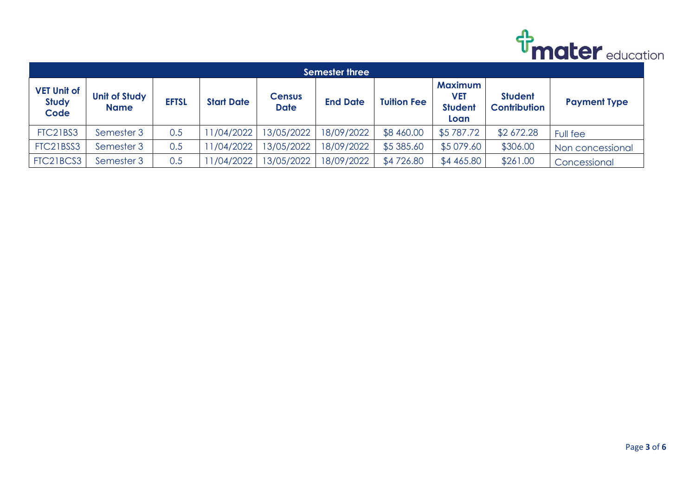

| <b>Semester three</b>                      |                                     |              |                   |                              |                 |                    |                                                        |                                       |                     |  |  |
|--------------------------------------------|-------------------------------------|--------------|-------------------|------------------------------|-----------------|--------------------|--------------------------------------------------------|---------------------------------------|---------------------|--|--|
| <b>VET Unit of</b><br><b>Study</b><br>Code | <b>Unit of Study</b><br><b>Name</b> | <b>EFTSL</b> | <b>Start Date</b> | <b>Census</b><br><b>Date</b> | <b>End Date</b> | <b>Tuition Fee</b> | <b>Maximum</b><br><b>VET</b><br><b>Student</b><br>Loan | <b>Student</b><br><b>Contribution</b> | <b>Payment Type</b> |  |  |
| FTC21BS3                                   | Semester 3                          | 0.5          | 1/04/2022         | 3/05/2022                    | 18/09/2022      | \$8 460.00         | \$5787.72                                              | \$2 672.28                            | Full fee            |  |  |
| FTC21BSS3                                  | Semester 3                          | 0.5          | 1/04/2022         | 3/05/2022                    | 18/09/2022      | \$5 385.60         | \$5 079.60                                             | \$306.00                              | Non concessional    |  |  |
| FTC21BCS3                                  | Semester 3                          | 0.5          | 1/04/2022         | 3/05/2022                    | 18/09/2022      | \$4726.80          | \$4 465.80                                             | \$261.00                              | Concessional        |  |  |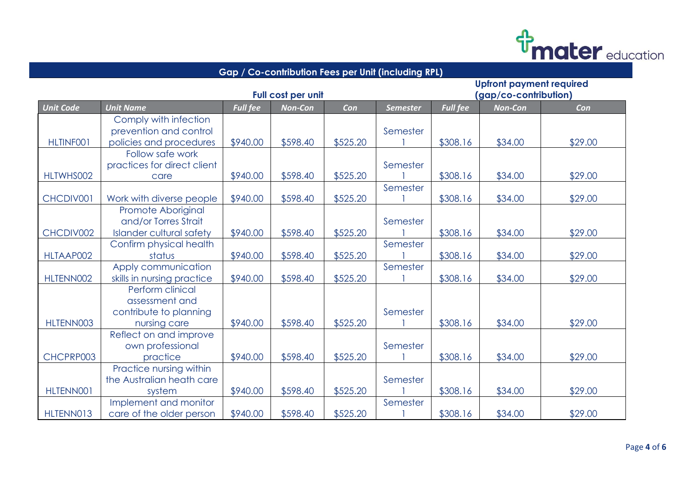

| Gap / Co-contribution Fees per Unit (including RPL) |                                 |                 |                       |          |                 |                 |                |         |  |  |  |
|-----------------------------------------------------|---------------------------------|-----------------|-----------------------|----------|-----------------|-----------------|----------------|---------|--|--|--|
| <b>Upfront payment required</b>                     |                                 |                 |                       |          |                 |                 |                |         |  |  |  |
|                                                     |                                 |                 | (gap/co-contribution) |          |                 |                 |                |         |  |  |  |
| <b>Unit Code</b>                                    | <b>Unit Name</b>                | <b>Full fee</b> | <b>Non-Con</b>        | Con      | <b>Semester</b> | <b>Full fee</b> | <b>Non-Con</b> | Con     |  |  |  |
|                                                     | Comply with infection           |                 |                       |          |                 |                 |                |         |  |  |  |
|                                                     | prevention and control          |                 |                       |          | Semester        |                 |                |         |  |  |  |
| <b>HLTINFOO1</b>                                    | policies and procedures         | \$940.00        | \$598.40              | \$525.20 |                 | \$308.16        | \$34.00        | \$29.00 |  |  |  |
|                                                     | Follow safe work                |                 |                       |          |                 |                 |                |         |  |  |  |
|                                                     | practices for direct client     |                 |                       |          | Semester        |                 |                |         |  |  |  |
| HLTWHS002                                           | care                            | \$940.00        | \$598.40              | \$525.20 |                 | \$308.16        | \$34.00        | \$29.00 |  |  |  |
|                                                     |                                 |                 |                       |          | Semester        |                 |                |         |  |  |  |
| CHCDIV001                                           | Work with diverse people        | \$940.00        | \$598.40              | \$525.20 |                 | \$308.16        | \$34.00        | \$29.00 |  |  |  |
|                                                     | Promote Aboriginal              |                 |                       |          |                 |                 |                |         |  |  |  |
|                                                     | and/or Torres Strait            |                 |                       |          | Semester        |                 |                |         |  |  |  |
| CHCDIV002                                           | <b>Islander cultural safety</b> | \$940.00        | \$598.40              | \$525.20 |                 | \$308.16        | \$34.00        | \$29.00 |  |  |  |
|                                                     | Confirm physical health         |                 |                       |          | Semester        |                 |                |         |  |  |  |
| HLTAAP002                                           | status                          | \$940.00        | \$598.40              | \$525.20 |                 | \$308.16        | \$34.00        | \$29.00 |  |  |  |
|                                                     | Apply communication             |                 |                       |          | Semester        |                 |                |         |  |  |  |
| HLTENN002                                           | skills in nursing practice      | \$940.00        | \$598.40              | \$525.20 |                 | \$308.16        | \$34.00        | \$29.00 |  |  |  |
|                                                     | Perform clinical                |                 |                       |          |                 |                 |                |         |  |  |  |
|                                                     | assessment and                  |                 |                       |          |                 |                 |                |         |  |  |  |
|                                                     | contribute to planning          |                 |                       |          | Semester        |                 |                |         |  |  |  |
| HLTENN003                                           | nursing care                    | \$940.00        | \$598.40              | \$525.20 |                 | \$308.16        | \$34.00        | \$29.00 |  |  |  |
|                                                     | Reflect on and improve          |                 |                       |          |                 |                 |                |         |  |  |  |
|                                                     | own professional                |                 |                       |          | Semester        |                 |                |         |  |  |  |
| CHCPRP003                                           | practice                        | \$940.00        | \$598.40              | \$525.20 |                 | \$308.16        | \$34.00        | \$29.00 |  |  |  |
|                                                     | Practice nursing within         |                 |                       |          |                 |                 |                |         |  |  |  |
|                                                     | the Australian heath care       |                 |                       |          | Semester        |                 |                |         |  |  |  |
| HLTENN001                                           | system                          | \$940.00        | \$598.40              | \$525.20 |                 | \$308.16        | \$34.00        | \$29.00 |  |  |  |
|                                                     | Implement and monitor           |                 |                       |          | Semester        |                 |                |         |  |  |  |
| HLTENN013                                           | care of the older person        | \$940.00        | \$598.40              | \$525.20 |                 | \$308.16        | \$34.00        | \$29.00 |  |  |  |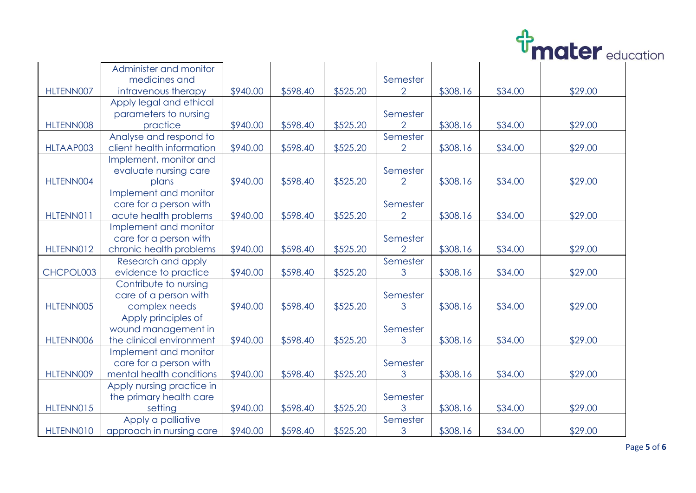

|           |                           |          |          |          |                |          |         | LLUJUJ CUU |  |
|-----------|---------------------------|----------|----------|----------|----------------|----------|---------|------------|--|
|           | Administer and monitor    |          |          |          |                |          |         |            |  |
|           | medicines and             |          |          |          | Semester       |          |         |            |  |
| HLTENN007 | intravenous therapy       | \$940.00 | \$598.40 | \$525.20 | $\overline{2}$ | \$308.16 | \$34.00 | \$29.00    |  |
|           | Apply legal and ethical   |          |          |          |                |          |         |            |  |
|           | parameters to nursing     |          |          |          | Semester       |          |         |            |  |
| HLTENN008 | practice                  | \$940.00 | \$598.40 | \$525.20 | $\overline{2}$ | \$308.16 | \$34.00 | \$29.00    |  |
|           | Analyse and respond to    |          |          |          | Semester       |          |         |            |  |
| HLTAAP003 | client health information | \$940.00 | \$598.40 | \$525.20 | $\overline{2}$ | \$308.16 | \$34.00 | \$29.00    |  |
|           | Implement, monitor and    |          |          |          |                |          |         |            |  |
|           | evaluate nursing care     |          |          |          | Semester       |          |         |            |  |
| HLTENN004 | plans                     | \$940.00 | \$598.40 | \$525.20 | $\overline{2}$ | \$308.16 | \$34.00 | \$29.00    |  |
|           | Implement and monitor     |          |          |          |                |          |         |            |  |
|           | care for a person with    |          |          |          | Semester       |          |         |            |  |
| HLTENN011 | acute health problems     | \$940.00 | \$598.40 | \$525.20 | $\overline{2}$ | \$308.16 | \$34.00 | \$29.00    |  |
|           | Implement and monitor     |          |          |          |                |          |         |            |  |
|           | care for a person with    |          |          |          | Semester       |          |         |            |  |
| HLTENN012 | chronic health problems   | \$940.00 | \$598.40 | \$525.20 | $\overline{2}$ | \$308.16 | \$34.00 | \$29.00    |  |
|           | Research and apply        |          |          |          | Semester       |          |         |            |  |
| CHCPOL003 | evidence to practice      | \$940.00 | \$598.40 | \$525.20 | 3              | \$308.16 | \$34.00 | \$29.00    |  |
|           | Contribute to nursing     |          |          |          |                |          |         |            |  |
|           | care of a person with     |          |          |          | Semester       |          |         |            |  |
| HLTENN005 | complex needs             | \$940.00 | \$598.40 | \$525.20 | 3              | \$308.16 | \$34.00 | \$29.00    |  |
|           | Apply principles of       |          |          |          |                |          |         |            |  |
|           | wound management in       |          |          |          | Semester       |          |         |            |  |
| HLTENN006 | the clinical environment  | \$940.00 | \$598.40 | \$525.20 | 3              | \$308.16 | \$34.00 | \$29.00    |  |
|           | Implement and monitor     |          |          |          |                |          |         |            |  |
|           | care for a person with    |          |          |          | Semester       |          |         |            |  |
| HLTENN009 | mental health conditions  | \$940.00 | \$598.40 | \$525.20 | 3              | \$308.16 | \$34.00 | \$29.00    |  |
|           | Apply nursing practice in |          |          |          |                |          |         |            |  |
|           | the primary health care   |          |          |          | Semester       |          |         |            |  |
| HLTENN015 | setting                   | \$940.00 | \$598.40 | \$525.20 | 3              | \$308.16 | \$34.00 | \$29.00    |  |
|           | Apply a palliative        |          |          |          | Semester       |          |         |            |  |
| HLTENN010 | approach in nursing care  | \$940.00 | \$598.40 | \$525.20 | 3              | \$308.16 | \$34.00 | \$29.00    |  |